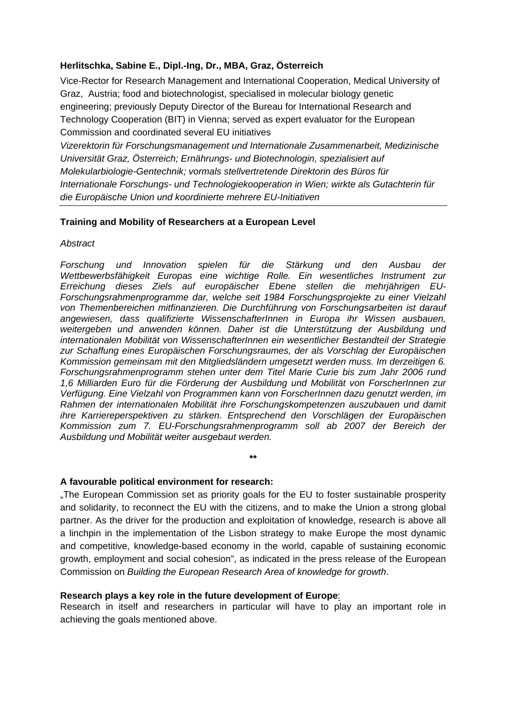# **Herlitschka, Sabine E., Dipl.-Ing, Dr., MBA, Graz, Österreich**

Vice-Rector for Research Management and International Cooperation, Medical University of Graz, Austria; food and biotechnologist, specialised in molecular biology genetic engineering; previously Deputy Director of the Bureau for International Research and Technology Cooperation (BIT) in Vienna; served as expert evaluator for the European Commission and coordinated several EU initiatives

*Vizerektorin für Forschungsmanagement und Internationale Zusammenarbeit, Medizinische Universität Graz, Österreich; Ernährungs- und Biotechnologin, spezialisiert auf Molekularbiologie-Gentechnik; vormals stellvertretende Direktorin des Büros für Internationale Forschungs- und Technologiekooperation in Wien; wirkte als Gutachterin für die Europäische Union und koordinierte mehrere EU-Initiativen* 

## **Training and Mobility of Researchers at a European Level**

*Abstract* 

*Forschung und Innovation spielen für die Stärkung und den Ausbau der Wettbewerbsfähigkeit Europas eine wichtige Rolle. Ein wesentliches Instrument zur Erreichung dieses Ziels auf europäischer Ebene stellen die mehrjährigen EU-Forschungsrahmenprogramme dar, welche seit 1984 Forschungsprojekte zu einer Vielzahl von Themenbereichen mitfinanzieren. Die Durchführung von Forschungsarbeiten ist darauf angewiesen, dass qualifizierte WissenschafterInnen in Europa ihr Wissen ausbauen, weitergeben und anwenden können. Daher ist die Unterstützung der Ausbildung und internationalen Mobilität von WissenschafterInnen ein wesentlicher Bestandteil der Strategie zur Schaffung eines Europäischen Forschungsraumes, der als Vorschlag der Europäischen Kommission gemeinsam mit den Mitgliedsländern umgesetzt werden muss. Im derzeitigen 6. Forschungsrahmenprogramm stehen unter dem Titel Marie Curie bis zum Jahr 2006 rund 1,6 Milliarden Euro für die Förderung der Ausbildung und Mobilität von ForscherInnen zur Verfügung. Eine Vielzahl von Programmen kann von ForscherInnen dazu genutzt werden, im Rahmen der internationalen Mobilität ihre Forschungskompetenzen auszubauen und damit ihre Karriereperspektiven zu stärken. Entsprechend den Vorschlägen der Europäischen Kommission zum 7. EU-Forschungsrahmenprogramm soll ab 2007 der Bereich der Ausbildung und Mobilität weiter ausgebaut werden.*

### **A favourable political environment for research:**

"The European Commission set as priority goals for the EU to foster sustainable prosperity and solidarity, to reconnect the EU with the citizens, and to make the Union a strong global partner. As the driver for the production and exploitation of knowledge, research is above all a linchpin in the implementation of the Lisbon strategy to make Europe the most dynamic and competitive, knowledge-based economy in the world, capable of sustaining economic growth, employment and social cohesion", as indicated in the press release of the European Commission on *Building the European Research Area of knowledge for growth*.

**\*\*** 

### **Research plays a key role in the future development of Europe**:

Research in itself and researchers in particular will have to play an important role in achieving the goals mentioned above.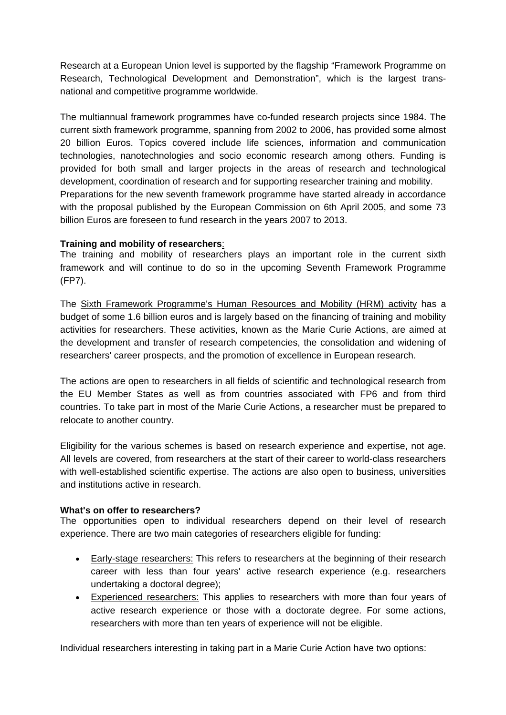Research at a European Union level is supported by the flagship "Framework Programme on Research, Technological Development and Demonstration", which is the largest transnational and competitive programme worldwide.

The multiannual framework programmes have co-funded research projects since 1984. The current sixth framework programme, spanning from 2002 to 2006, has provided some almost 20 billion Euros. Topics covered include life sciences, information and communication technologies, nanotechnologies and socio economic research among others. Funding is provided for both small and larger projects in the areas of research and technological development, coordination of research and for supporting researcher training and mobility. Preparations for the new seventh framework programme have started already in accordance with the proposal published by the European Commission on 6th April 2005, and some 73 billion Euros are foreseen to fund research in the years 2007 to 2013.

## **Training and mobility of researchers**:

The training and mobility of researchers plays an important role in the current sixth framework and will continue to do so in the upcoming Seventh Framework Programme (FP7).

The Sixth Framework Programme's Human Resources and Mobility (HRM) activity has a budget of some 1.6 billion euros and is largely based on the financing of training and mobility activities for researchers. These activities, known as the Marie Curie Actions, are aimed at the development and transfer of research competencies, the consolidation and widening of researchers' career prospects, and the promotion of excellence in European research.

The actions are open to researchers in all fields of scientific and technological research from the EU Member States as well as from countries associated with FP6 and from third countries. To take part in most of the Marie Curie Actions, a researcher must be prepared to relocate to another country.

Eligibility for the various schemes is based on research experience and expertise, not age. All levels are covered, from researchers at the start of their career to world-class researchers with well-established scientific expertise. The actions are also open to business, universities and institutions active in research.

## **What's on offer to researchers?**

The opportunities open to individual researchers depend on their level of research experience. There are two main categories of researchers eligible for funding:

- Early-stage researchers: This refers to researchers at the beginning of their research career with less than four years' active research experience (e.g. researchers undertaking a doctoral degree);
- Experienced researchers: This applies to researchers with more than four years of active research experience or those with a doctorate degree. For some actions, researchers with more than ten years of experience will not be eligible.

Individual researchers interesting in taking part in a Marie Curie Action have two options: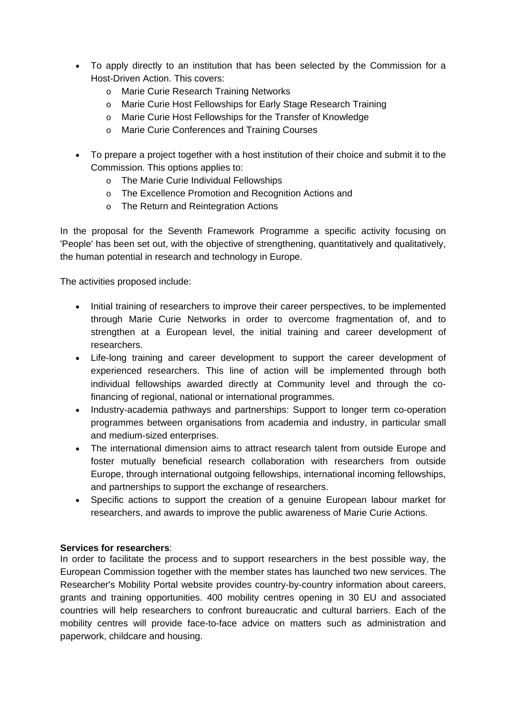- To apply directly to an institution that has been selected by the Commission for a Host-Driven Action. This covers:
	- o Marie Curie Research Training Networks
	- o Marie Curie Host Fellowships for Early Stage Research Training
	- o Marie Curie Host Fellowships for the Transfer of Knowledge
	- o Marie Curie Conferences and Training Courses
- To prepare a project together with a host institution of their choice and submit it to the Commission. This options applies to:
	- o The Marie Curie Individual Fellowships
	- o The Excellence Promotion and Recognition Actions and
	- o The Return and Reintegration Actions

In the proposal for the Seventh Framework Programme a specific activity focusing on 'People' has been set out, with the objective of strengthening, quantitatively and qualitatively, the human potential in research and technology in Europe.

The activities proposed include:

- Initial training of researchers to improve their career perspectives, to be implemented through Marie Curie Networks in order to overcome fragmentation of, and to strengthen at a European level, the initial training and career development of researchers.
- Life-long training and career development to support the career development of experienced researchers. This line of action will be implemented through both individual fellowships awarded directly at Community level and through the cofinancing of regional, national or international programmes.
- Industry-academia pathways and partnerships: Support to longer term co-operation programmes between organisations from academia and industry, in particular small and medium-sized enterprises.
- The international dimension aims to attract research talent from outside Europe and foster mutually beneficial research collaboration with researchers from outside Europe, through international outgoing fellowships, international incoming fellowships, and partnerships to support the exchange of researchers.
- Specific actions to support the creation of a genuine European labour market for researchers, and awards to improve the public awareness of Marie Curie Actions.

# **Services for researchers**:

In order to facilitate the process and to support researchers in the best possible way, the European Commission together with the member states has launched two new services. The Researcher's Mobility Portal website provides country-by-country information about careers, grants and training opportunities. 400 mobility centres opening in 30 EU and associated countries will help researchers to confront bureaucratic and cultural barriers. Each of the mobility centres will provide face-to-face advice on matters such as administration and paperwork, childcare and housing.